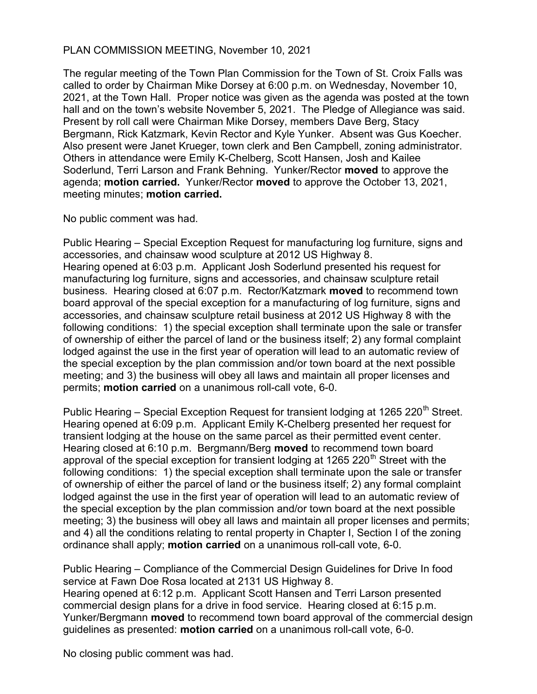## PLAN COMMISSION MEETING, November 10, 2021

The regular meeting of the Town Plan Commission for the Town of St. Croix Falls was called to order by Chairman Mike Dorsey at 6:00 p.m. on Wednesday, November 10, 2021, at the Town Hall. Proper notice was given as the agenda was posted at the town hall and on the town's website November 5, 2021. The Pledge of Allegiance was said. Present by roll call were Chairman Mike Dorsey, members Dave Berg, Stacy Bergmann, Rick Katzmark, Kevin Rector and Kyle Yunker. Absent was Gus Koecher. Also present were Janet Krueger, town clerk and Ben Campbell, zoning administrator. Others in attendance were Emily K-Chelberg, Scott Hansen, Josh and Kailee Soderlund, Terri Larson and Frank Behning. Yunker/Rector moved to approve the agenda; motion carried. Yunker/Rector moved to approve the October 13, 2021, meeting minutes; motion carried.

No public comment was had.

Public Hearing – Special Exception Request for manufacturing log furniture, signs and accessories, and chainsaw wood sculpture at 2012 US Highway 8. Hearing opened at 6:03 p.m. Applicant Josh Soderlund presented his request for manufacturing log furniture, signs and accessories, and chainsaw sculpture retail business. Hearing closed at 6:07 p.m. Rector/Katzmark moved to recommend town board approval of the special exception for a manufacturing of log furniture, signs and accessories, and chainsaw sculpture retail business at 2012 US Highway 8 with the following conditions: 1) the special exception shall terminate upon the sale or transfer of ownership of either the parcel of land or the business itself; 2) any formal complaint lodged against the use in the first year of operation will lead to an automatic review of the special exception by the plan commission and/or town board at the next possible meeting; and 3) the business will obey all laws and maintain all proper licenses and permits; motion carried on a unanimous roll-call vote, 6-0.

Public Hearing – Special Exception Request for transient lodging at 1265 220<sup>th</sup> Street. Hearing opened at 6:09 p.m. Applicant Emily K-Chelberg presented her request for transient lodging at the house on the same parcel as their permitted event center. Hearing closed at 6:10 p.m. Bergmann/Berg moved to recommend town board approval of the special exception for transient lodging at 1265 220<sup>th</sup> Street with the following conditions: 1) the special exception shall terminate upon the sale or transfer of ownership of either the parcel of land or the business itself; 2) any formal complaint lodged against the use in the first year of operation will lead to an automatic review of the special exception by the plan commission and/or town board at the next possible meeting; 3) the business will obey all laws and maintain all proper licenses and permits; and 4) all the conditions relating to rental property in Chapter I, Section I of the zoning ordinance shall apply; motion carried on a unanimous roll-call vote, 6-0.

Public Hearing – Compliance of the Commercial Design Guidelines for Drive In food service at Fawn Doe Rosa located at 2131 US Highway 8. Hearing opened at 6:12 p.m. Applicant Scott Hansen and Terri Larson presented commercial design plans for a drive in food service. Hearing closed at 6:15 p.m. Yunker/Bergmann moved to recommend town board approval of the commercial design guidelines as presented: motion carried on a unanimous roll-call vote, 6-0.

No closing public comment was had.